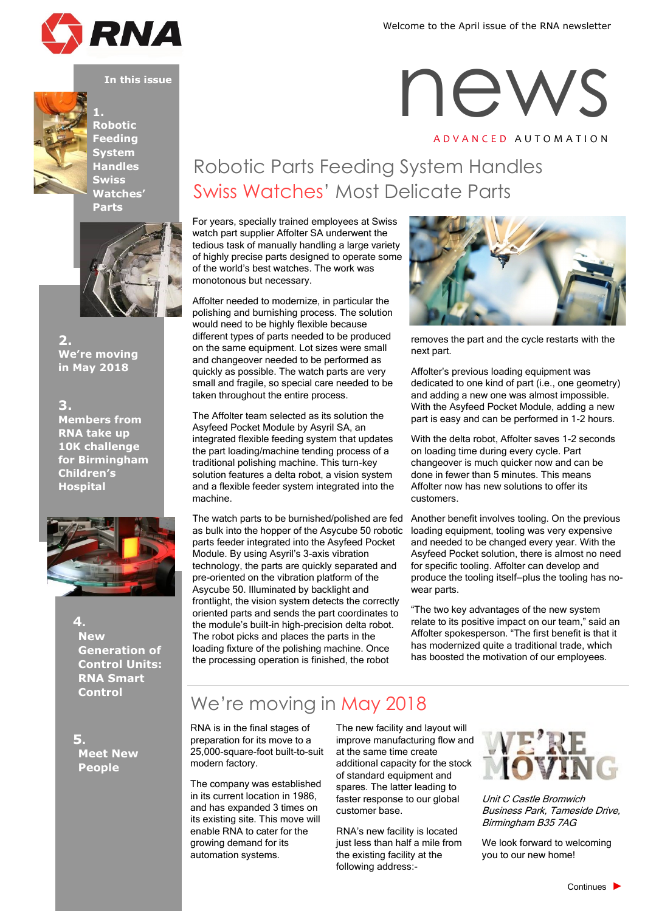

**1.**

Welcome to the April issue of the RNA newsletter



**Robotic Feeding System Handles Swiss Watches' Parts**



**2. We're moving in May 2018**

**3. Members from RNA take up 10K challenge for Birmingham Children's Hospital**



**4. New Generation of Control Units: RNA Smart Control**

**5. Meet New People**

# **IRNA**<br>
In this issue<br>
1 A D V A N C E D A U T O M A T I O N

# Robotic Parts Feeding System Handles Swiss Watches' Most Delicate Parts

For years, specially trained employees at Swiss watch part supplier Affolter SA underwent the tedious task of manually handling a large variety of highly precise parts designed to operate some of the world's best watches. The work was monotonous but necessary.

Affolter needed to modernize, in particular the polishing and burnishing process. The solution would need to be highly flexible because different types of parts needed to be produced on the same equipment. Lot sizes were small and changeover needed to be performed as quickly as possible. The watch parts are very small and fragile, so special care needed to be taken throughout the entire process.

The Affolter team selected as its solution the Asyfeed Pocket Module by Asyril SA, an integrated flexible feeding system that updates the part loading/machine tending process of a traditional polishing machine. This turn-key solution features a delta robot, a vision system and a flexible feeder system integrated into the machine.

The watch parts to be burnished/polished are fed as bulk into the hopper of the Asycube 50 robotic parts feeder integrated into the Asyfeed Pocket Module. By using Asyril's 3-axis vibration technology, the parts are quickly separated and pre-oriented on the vibration platform of the Asycube 50. Illuminated by backlight and frontlight, the vision system detects the correctly oriented parts and sends the part coordinates to the module's built-in high-precision delta robot. The robot picks and places the parts in the loading fixture of the polishing machine. Once the processing operation is finished, the robot



removes the part and the cycle restarts with the next part.

Affolter's previous loading equipment was dedicated to one kind of part (i.e., one geometry) and adding a new one was almost impossible. With the Asyfeed Pocket Module, adding a new part is easy and can be performed in 1-2 hours.

With the delta robot, Affolter saves 1-2 seconds on loading time during every cycle. Part changeover is much quicker now and can be done in fewer than 5 minutes. This means Affolter now has new solutions to offer its customers.

Another benefit involves tooling. On the previous loading equipment, tooling was very expensive and needed to be changed every year. With the Asyfeed Pocket solution, there is almost no need for specific tooling. Affolter can develop and produce the tooling itself—plus the tooling has nowear parts.

"The two key advantages of the new system relate to its positive impact on our team," said an Affolter spokesperson. "The first benefit is that it has modernized quite a traditional trade, which has boosted the motivation of our employees.

## We're moving in May 2018

RNA is in the final stages of preparation for its move to a 25,000-square-foot built-to-suit modern factory.

The company was established in its current location in 1986, and has expanded 3 times on its existing site. This move will enable RNA to cater for the growing demand for its automation systems.

The new facility and layout will improve manufacturing flow and at the same time create additional capacity for the stock of standard equipment and spares. The latter leading to faster response to our global customer base.

RNA's new facility is located just less than half a mile from the existing facility at the following address:-



Unit C Castle Bromwich Business Park, Tameside Drive, Birmingham B35 7AG

We look forward to welcoming you to our new home!